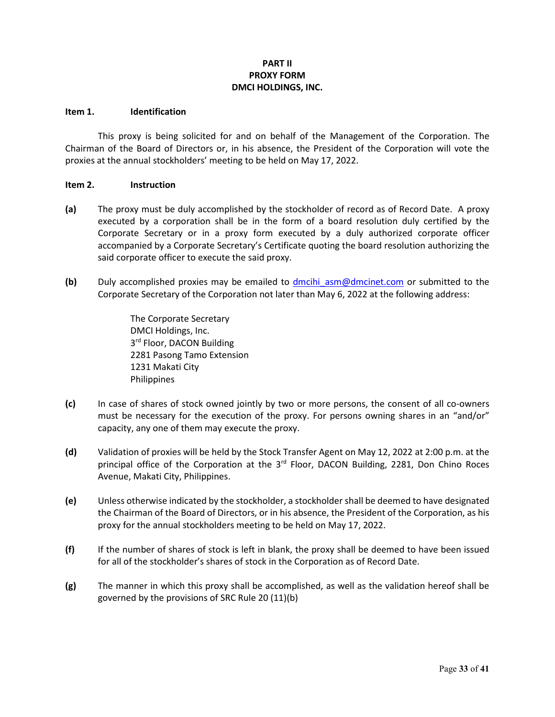# **PART II PROXY FORM DMCI HOLDINGS, INC.**

### **Item 1. Identification**

This proxy is being solicited for and on behalf of the Management of the Corporation. The Chairman of the Board of Directors or, in his absence, the President of the Corporation will vote the proxies at the annual stockholders' meeting to be held on May 17, 2022.

### **Item 2. Instruction**

- **(a)** The proxy must be duly accomplished by the stockholder of record as of Record Date. A proxy executed by a corporation shall be in the form of a board resolution duly certified by the Corporate Secretary or in a proxy form executed by a duly authorized corporate officer accompanied by a Corporate Secretary's Certificate quoting the board resolution authorizing the said corporate officer to execute the said proxy.
- **(b)** Duly accomplished proxies may be emailed to [dmcihi\\_asm@dmcinet.com](mailto:dmcihi_asm@dmcinet.com) or submitted to the Corporate Secretary of the Corporation not later than May 6, 2022 at the following address:

The Corporate Secretary DMCI Holdings, Inc. 3rd Floor, DACON Building 2281 Pasong Tamo Extension 1231 Makati City Philippines

- **(c)** In case of shares of stock owned jointly by two or more persons, the consent of all co-owners must be necessary for the execution of the proxy. For persons owning shares in an "and/or" capacity, any one of them may execute the proxy.
- **(d)** Validation of proxies will be held by the Stock Transfer Agent on May 12, 2022 at 2:00 p.m. at the principal office of the Corporation at the 3<sup>rd</sup> Floor, DACON Building, 2281, Don Chino Roces Avenue, Makati City, Philippines.
- **(e)** Unless otherwise indicated by the stockholder, a stockholder shall be deemed to have designated the Chairman of the Board of Directors, or in his absence, the President of the Corporation, as his proxy for the annual stockholders meeting to be held on May 17, 2022.
- **(f)** If the number of shares of stock is left in blank, the proxy shall be deemed to have been issued for all of the stockholder's shares of stock in the Corporation as of Record Date.
- **(g)** The manner in which this proxy shall be accomplished, as well as the validation hereof shall be governed by the provisions of SRC Rule 20 (11)(b)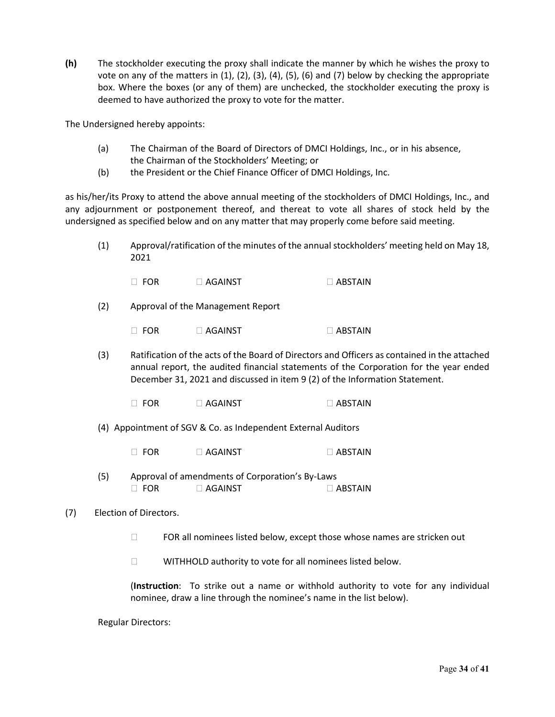**(h)** The stockholder executing the proxy shall indicate the manner by which he wishes the proxy to vote on any of the matters in  $(1)$ ,  $(2)$ ,  $(3)$ ,  $(4)$ ,  $(5)$ ,  $(6)$  and  $(7)$  below by checking the appropriate box. Where the boxes (or any of them) are unchecked, the stockholder executing the proxy is deemed to have authorized the proxy to vote for the matter.

The Undersigned hereby appoints:

- (a) The Chairman of the Board of Directors of DMCI Holdings, Inc., or in his absence, the Chairman of the Stockholders' Meeting; or
- (b) the President or the Chief Finance Officer of DMCI Holdings, Inc.

as his/her/its Proxy to attend the above annual meeting of the stockholders of DMCI Holdings, Inc., and any adjournment or postponement thereof, and thereat to vote all shares of stock held by the undersigned as specified below and on any matter that may properly come before said meeting.

(1) Approval/ratification of the minutes of the annual stockholders' meeting held on May 18, 2021

| $\Box$ FOR | $\Box$ Against | $\Box$ ABSTAIN |
|------------|----------------|----------------|
|            |                |                |

(2) Approval of the Management Report

 $\Box$  FOR  $\Box$  AGAINST  $\Box$  ABSTAIN

- (3) Ratification of the acts of the Board of Directors and Officers as contained in the attached annual report, the audited financial statements of the Corporation for the year ended December 31, 2021 and discussed in item 9 (2) of the Information Statement.
	- $\Box$  FOR  $\Box$  AGAINST  $\Box$  ABSTAIN
- (4) Appointment of SGV & Co. as Independent External Auditors
	- $\Box$  FOR  $\Box$  AGAINST  $\Box$  ABSTAIN
- (5) Approval of amendments of Corporation's By-Laws  $\Box$  FOR  $\Box$  AGAINST  $\Box$  ABSTAIN

# (7) Election of Directors.

- $\Box$  FOR all nominees listed below, except those whose names are stricken out
- WITHHOLD authority to vote for all nominees listed below.

(**Instruction**: To strike out a name or withhold authority to vote for any individual nominee, draw a line through the nominee's name in the list below).

Regular Directors: